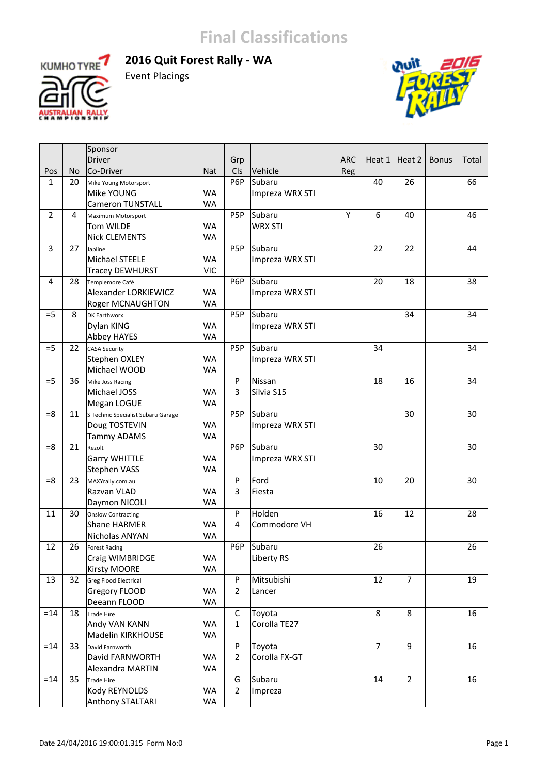



Event Placings



|                |           | Sponsor                            |            |                |                   |            |                |                |              |       |
|----------------|-----------|------------------------------------|------------|----------------|-------------------|------------|----------------|----------------|--------------|-------|
|                |           | <b>Driver</b>                      |            | Grp            |                   | <b>ARC</b> | Heat 1         | Heat 2         | <b>Bonus</b> | Total |
| Pos            | <b>No</b> | Co-Driver                          | <b>Nat</b> | Cls            | Vehicle           | Reg        |                |                |              |       |
| $\mathbf{1}$   | 20        | Mike Young Motorsport              |            | P6P            | Subaru            |            | 40             | 26             |              | 66    |
|                |           | Mike YOUNG                         | <b>WA</b>  |                | Impreza WRX STI   |            |                |                |              |       |
|                |           | <b>Cameron TUNSTALL</b>            | <b>WA</b>  |                |                   |            |                |                |              |       |
| $\overline{2}$ | 4         | Maximum Motorsport                 |            | P5P            | Subaru            | Υ          | 6              | 40             |              | 46    |
|                |           | Tom WILDE                          | <b>WA</b>  |                | <b>WRX STI</b>    |            |                |                |              |       |
|                |           | <b>Nick CLEMENTS</b>               | <b>WA</b>  |                |                   |            |                |                |              |       |
| $\overline{3}$ | 27        | Japline                            |            | P5P            | Subaru            |            | 22             | 22             |              | 44    |
|                |           | Michael STEELE                     | <b>WA</b>  |                | Impreza WRX STI   |            |                |                |              |       |
|                |           | <b>Tracey DEWHURST</b>             | <b>VIC</b> |                |                   |            |                |                |              |       |
| $\overline{4}$ | 28        | Templemore Café                    |            | P6P            | Subaru            |            | 20             | 18             |              | 38    |
|                |           | Alexander LORKIEWICZ               | <b>WA</b>  |                | Impreza WRX STI   |            |                |                |              |       |
|                |           | <b>Roger MCNAUGHTON</b>            | <b>WA</b>  |                |                   |            |                |                |              |       |
| $=5$           | 8         | DK Earthworx                       |            | P5P            | Subaru            |            |                | 34             |              | 34    |
|                |           | Dylan KING                         | <b>WA</b>  |                | Impreza WRX STI   |            |                |                |              |       |
|                |           | Abbey HAYES                        | <b>WA</b>  |                |                   |            |                |                |              |       |
| $=5$           | 22        | <b>CASA Security</b>               |            | P5P            | Subaru            |            | 34             |                |              | 34    |
|                |           | Stephen OXLEY                      | <b>WA</b>  |                | Impreza WRX STI   |            |                |                |              |       |
|                |           | Michael WOOD                       | <b>WA</b>  |                |                   |            |                |                |              |       |
| $=5$           | 36        | Mike Joss Racing                   |            | P              | Nissan            |            | 18             | 16             |              | 34    |
|                |           | Michael JOSS                       | <b>WA</b>  | 3              | Silvia S15        |            |                |                |              |       |
|                |           | Megan LOGUE                        | <b>WA</b>  |                |                   |            |                |                |              |       |
| $= 8$          | 11        | S Technic Specialist Subaru Garage |            | P5P            | Subaru            |            |                | 30             |              | 30    |
|                |           | Doug TOSTEVIN                      | <b>WA</b>  |                | Impreza WRX STI   |            |                |                |              |       |
|                |           | <b>Tammy ADAMS</b>                 | <b>WA</b>  |                |                   |            |                |                |              |       |
| $= 8$          | 21        | Rezolt                             |            | P6P            | Subaru            |            | 30             |                |              | 30    |
|                |           | <b>Garry WHITTLE</b>               | <b>WA</b>  |                | Impreza WRX STI   |            |                |                |              |       |
|                |           | Stephen VASS                       | <b>WA</b>  |                |                   |            |                |                |              |       |
| $= 8$          | 23        | MAXYrally.com.au                   |            | P              | Ford              |            | 10             | 20             |              | 30    |
|                |           | Razvan VLAD                        | <b>WA</b>  | 3              | Fiesta            |            |                |                |              |       |
|                |           | Daymon NICOLI                      | <b>WA</b>  |                |                   |            |                |                |              |       |
| 11             | 30        | Onslow Contracting                 |            | P              | Holden            |            | 16             | 12             |              | 28    |
|                |           | <b>Shane HARMER</b>                | <b>WA</b>  | 4              | Commodore VH      |            |                |                |              |       |
|                |           | Nicholas ANYAN                     | <b>WA</b>  |                |                   |            |                |                |              |       |
| 12             | 26        | <b>Forest Racing</b>               |            | P6P            | Subaru            |            | 26             |                |              | 26    |
|                |           | Craig WIMBRIDGE                    | WA         |                | <b>Liberty RS</b> |            |                |                |              |       |
|                |           | Kirsty MOORE                       | <b>WA</b>  |                |                   |            |                |                |              |       |
| 13             | 32        | Greg Flood Electrical              |            | ${\sf P}$      | Mitsubishi        |            | 12             | $\overline{7}$ |              | 19    |
|                |           | Gregory FLOOD                      | WA         | $\overline{2}$ | Lancer            |            |                |                |              |       |
|                |           | Deeann FLOOD                       | <b>WA</b>  |                |                   |            |                |                |              |       |
| $=14$          | 18        | Trade Hire                         |            | $\mathsf C$    | Toyota            |            | 8              | 8              |              | 16    |
|                |           | Andy VAN KANN                      | <b>WA</b>  | $\mathbf{1}$   | Corolla TE27      |            |                |                |              |       |
|                |           | Madelin KIRKHOUSE                  | <b>WA</b>  |                |                   |            |                |                |              |       |
| $=14$          | 33        | David Farnworth                    |            | P              | Toyota            |            | $\overline{7}$ | 9              |              | 16    |
|                |           | David FARNWORTH                    | <b>WA</b>  | $\overline{2}$ | Corolla FX-GT     |            |                |                |              |       |
|                |           | Alexandra MARTIN                   | <b>WA</b>  |                |                   |            |                |                |              |       |
| $=14$          | 35        | Trade Hire                         |            | G              | Subaru            |            | 14             | $\overline{2}$ |              | 16    |
|                |           | Kody REYNOLDS                      | <b>WA</b>  | $\overline{2}$ | Impreza           |            |                |                |              |       |
|                |           | Anthony STALTARI                   | WA         |                |                   |            |                |                |              |       |
|                |           |                                    |            |                |                   |            |                |                |              |       |